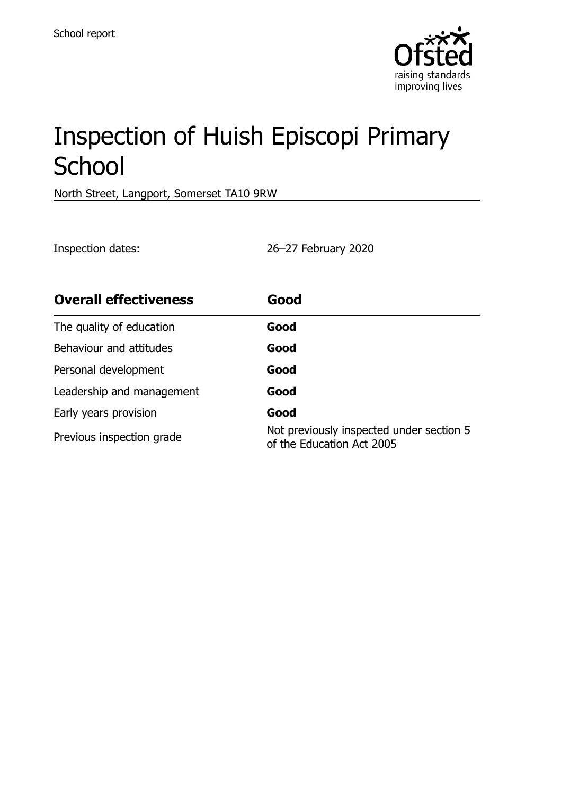

# Inspection of Huish Episcopi Primary **School**

North Street, Langport, Somerset TA10 9RW

Inspection dates: 26–27 February 2020

| <b>Overall effectiveness</b> | Good                                                                  |
|------------------------------|-----------------------------------------------------------------------|
| The quality of education     | Good                                                                  |
| Behaviour and attitudes      | Good                                                                  |
| Personal development         | Good                                                                  |
| Leadership and management    | Good                                                                  |
| Early years provision        | Good                                                                  |
| Previous inspection grade    | Not previously inspected under section 5<br>of the Education Act 2005 |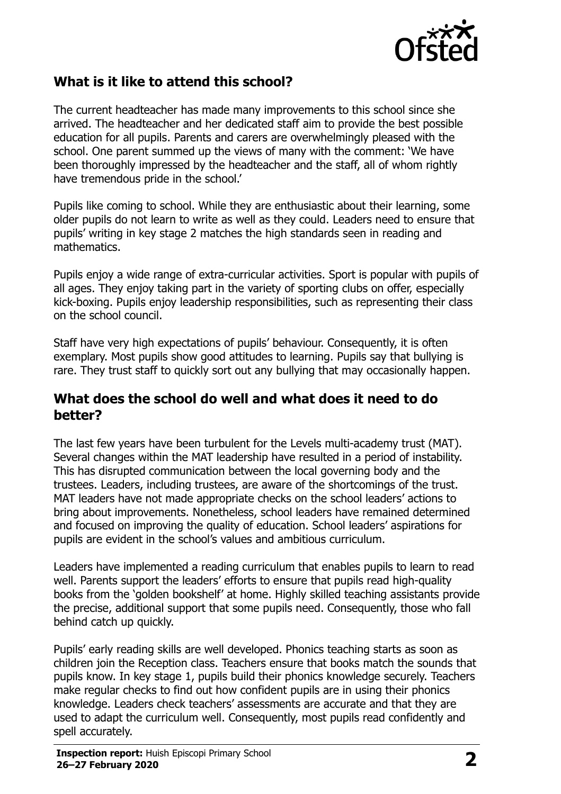

# **What is it like to attend this school?**

The current headteacher has made many improvements to this school since she arrived. The headteacher and her dedicated staff aim to provide the best possible education for all pupils. Parents and carers are overwhelmingly pleased with the school. One parent summed up the views of many with the comment: 'We have been thoroughly impressed by the headteacher and the staff, all of whom rightly have tremendous pride in the school.'

Pupils like coming to school. While they are enthusiastic about their learning, some older pupils do not learn to write as well as they could. Leaders need to ensure that pupils' writing in key stage 2 matches the high standards seen in reading and mathematics.

Pupils enjoy a wide range of extra-curricular activities. Sport is popular with pupils of all ages. They enjoy taking part in the variety of sporting clubs on offer, especially kick-boxing. Pupils enjoy leadership responsibilities, such as representing their class on the school council.

Staff have very high expectations of pupils' behaviour. Consequently, it is often exemplary. Most pupils show good attitudes to learning. Pupils say that bullying is rare. They trust staff to quickly sort out any bullying that may occasionally happen.

#### **What does the school do well and what does it need to do better?**

The last few years have been turbulent for the Levels multi-academy trust (MAT). Several changes within the MAT leadership have resulted in a period of instability. This has disrupted communication between the local governing body and the trustees. Leaders, including trustees, are aware of the shortcomings of the trust. MAT leaders have not made appropriate checks on the school leaders' actions to bring about improvements. Nonetheless, school leaders have remained determined and focused on improving the quality of education. School leaders' aspirations for pupils are evident in the school's values and ambitious curriculum.

Leaders have implemented a reading curriculum that enables pupils to learn to read well. Parents support the leaders' efforts to ensure that pupils read high-quality books from the 'golden bookshelf' at home. Highly skilled teaching assistants provide the precise, additional support that some pupils need. Consequently, those who fall behind catch up quickly.

Pupils' early reading skills are well developed. Phonics teaching starts as soon as children join the Reception class. Teachers ensure that books match the sounds that pupils know. In key stage 1, pupils build their phonics knowledge securely. Teachers make regular checks to find out how confident pupils are in using their phonics knowledge. Leaders check teachers' assessments are accurate and that they are used to adapt the curriculum well. Consequently, most pupils read confidently and spell accurately.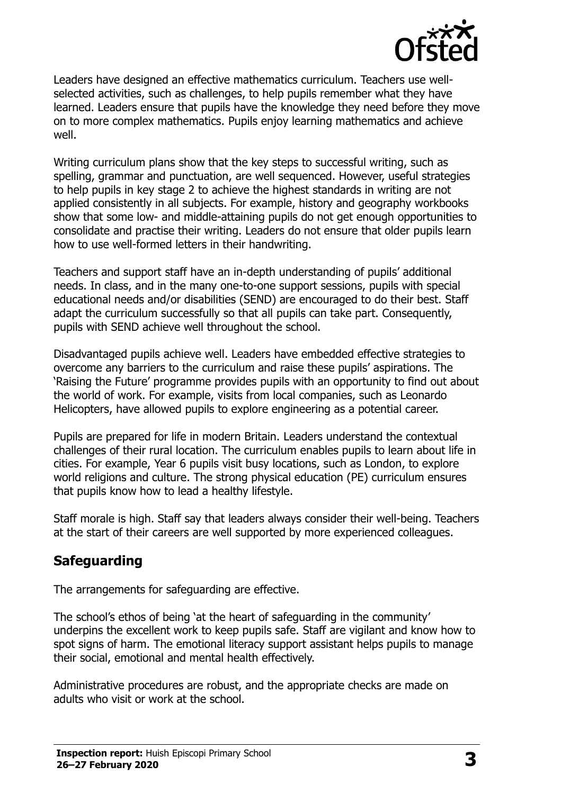

Leaders have designed an effective mathematics curriculum. Teachers use wellselected activities, such as challenges, to help pupils remember what they have learned. Leaders ensure that pupils have the knowledge they need before they move on to more complex mathematics. Pupils enjoy learning mathematics and achieve well.

Writing curriculum plans show that the key steps to successful writing, such as spelling, grammar and punctuation, are well sequenced. However, useful strategies to help pupils in key stage 2 to achieve the highest standards in writing are not applied consistently in all subjects. For example, history and geography workbooks show that some low- and middle-attaining pupils do not get enough opportunities to consolidate and practise their writing. Leaders do not ensure that older pupils learn how to use well-formed letters in their handwriting.

Teachers and support staff have an in-depth understanding of pupils' additional needs. In class, and in the many one-to-one support sessions, pupils with special educational needs and/or disabilities (SEND) are encouraged to do their best. Staff adapt the curriculum successfully so that all pupils can take part. Consequently, pupils with SEND achieve well throughout the school.

Disadvantaged pupils achieve well. Leaders have embedded effective strategies to overcome any barriers to the curriculum and raise these pupils' aspirations. The 'Raising the Future' programme provides pupils with an opportunity to find out about the world of work. For example, visits from local companies, such as Leonardo Helicopters, have allowed pupils to explore engineering as a potential career.

Pupils are prepared for life in modern Britain. Leaders understand the contextual challenges of their rural location. The curriculum enables pupils to learn about life in cities. For example, Year 6 pupils visit busy locations, such as London, to explore world religions and culture. The strong physical education (PE) curriculum ensures that pupils know how to lead a healthy lifestyle.

Staff morale is high. Staff say that leaders always consider their well-being. Teachers at the start of their careers are well supported by more experienced colleagues.

# **Safeguarding**

The arrangements for safeguarding are effective.

The school's ethos of being 'at the heart of safeguarding in the community' underpins the excellent work to keep pupils safe. Staff are vigilant and know how to spot signs of harm. The emotional literacy support assistant helps pupils to manage their social, emotional and mental health effectively.

Administrative procedures are robust, and the appropriate checks are made on adults who visit or work at the school.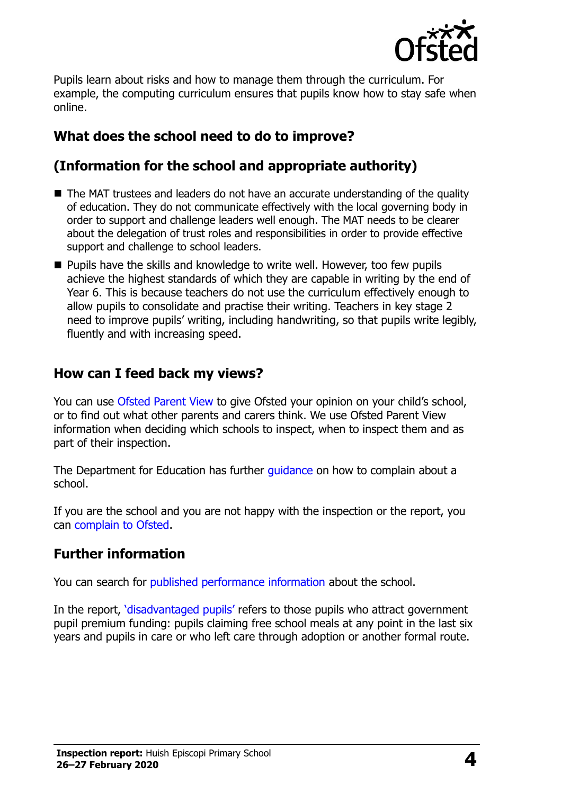

Pupils learn about risks and how to manage them through the curriculum. For example, the computing curriculum ensures that pupils know how to stay safe when online.

# **What does the school need to do to improve?**

# **(Information for the school and appropriate authority)**

- The MAT trustees and leaders do not have an accurate understanding of the quality of education. They do not communicate effectively with the local governing body in order to support and challenge leaders well enough. The MAT needs to be clearer about the delegation of trust roles and responsibilities in order to provide effective support and challenge to school leaders.
- **Pupils have the skills and knowledge to write well. However, too few pupils** achieve the highest standards of which they are capable in writing by the end of Year 6. This is because teachers do not use the curriculum effectively enough to allow pupils to consolidate and practise their writing. Teachers in key stage 2 need to improve pupils' writing, including handwriting, so that pupils write legibly, fluently and with increasing speed.

## **How can I feed back my views?**

You can use [Ofsted Parent View](http://parentview.ofsted.gov.uk/) to give Ofsted your opinion on your child's school, or to find out what other parents and carers think. We use Ofsted Parent View information when deciding which schools to inspect, when to inspect them and as part of their inspection.

The Department for Education has further *quidance* on how to complain about a school.

If you are the school and you are not happy with the inspection or the report, you can [complain to Ofsted.](http://www.gov.uk/complain-ofsted-report)

# **Further information**

You can search for [published performance information](http://www.compare-school-performance.service.gov.uk/) about the school.

In the report, '[disadvantaged pupils](http://www.gov.uk/guidance/pupil-premium-information-for-schools-and-alternative-provision-settings)' refers to those pupils who attract government pupil premium funding: pupils claiming free school meals at any point in the last six years and pupils in care or who left care through adoption or another formal route.

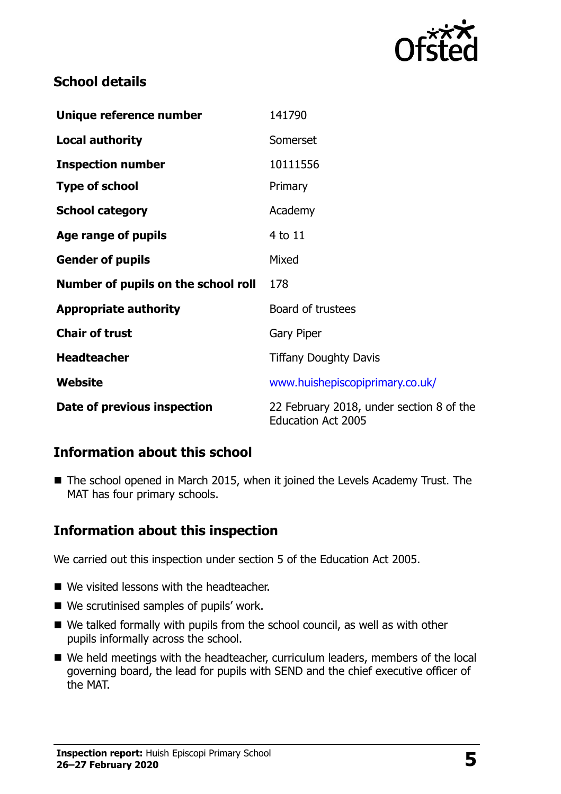

# **School details**

| Unique reference number             | 141790                                                                |
|-------------------------------------|-----------------------------------------------------------------------|
| <b>Local authority</b>              | Somerset                                                              |
| <b>Inspection number</b>            | 10111556                                                              |
| <b>Type of school</b>               | Primary                                                               |
| <b>School category</b>              | Academy                                                               |
| Age range of pupils                 | 4 to 11                                                               |
| <b>Gender of pupils</b>             | Mixed                                                                 |
| Number of pupils on the school roll | 178                                                                   |
| <b>Appropriate authority</b>        | Board of trustees                                                     |
| <b>Chair of trust</b>               | <b>Gary Piper</b>                                                     |
| <b>Headteacher</b>                  | <b>Tiffany Doughty Davis</b>                                          |
| Website                             | www.huishepiscopiprimary.co.uk/                                       |
| Date of previous inspection         | 22 February 2018, under section 8 of the<br><b>Education Act 2005</b> |

### **Information about this school**

■ The school opened in March 2015, when it joined the Levels Academy Trust. The MAT has four primary schools.

# **Information about this inspection**

We carried out this inspection under section 5 of the Education Act 2005.

- We visited lessons with the headteacher.
- We scrutinised samples of pupils' work.
- We talked formally with pupils from the school council, as well as with other pupils informally across the school.
- We held meetings with the headteacher, curriculum leaders, members of the local governing board, the lead for pupils with SEND and the chief executive officer of the MAT.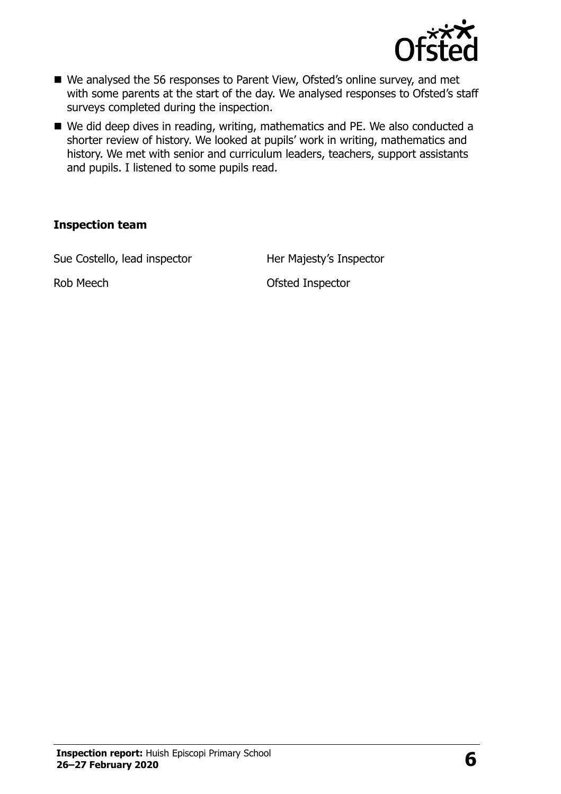

- We analysed the 56 responses to Parent View, Ofsted's online survey, and met with some parents at the start of the day. We analysed responses to Ofsted's staff surveys completed during the inspection.
- We did deep dives in reading, writing, mathematics and PE. We also conducted a shorter review of history. We looked at pupils' work in writing, mathematics and history. We met with senior and curriculum leaders, teachers, support assistants and pupils. I listened to some pupils read.

#### **Inspection team**

Sue Costello, lead inspector **Her Majesty's Inspector** 

Rob Meech **Contact Contact Contact Contact Contact Contact Contact Contact Contact Contact Contact Contact Contact Contact Contact Contact Contact Contact Contact Contact Contact Contact Contact Contact Contact Contact Con**